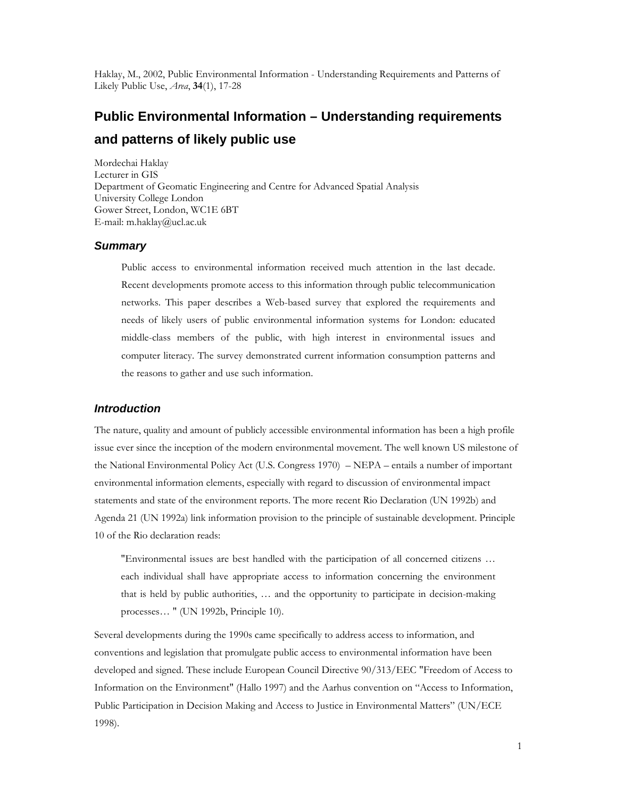Haklay, M., 2002, Public Environmental Information - Understanding Requirements and Patterns of Likely Public Use, Area, 34(1), 17-28

# **Public Environmental Information – Understanding requirements and patterns of likely public use**

Mordechai Haklay Lecturer in GIS Department of Geomatic Engineering and Centre for Advanced Spatial Analysis University College London Gower Street, London, WC1E 6BT E-mail: m.haklay@ucl.ac.uk

#### **Summary**

Public access to environmental information received much attention in the last decade. Recent developments promote access to this information through public telecommunication networks. This paper describes a Web-based survey that explored the requirements and needs of likely users of public environmental information systems for London: educated middle-class members of the public, with high interest in environmental issues and computer literacy. The survey demonstrated current information consumption patterns and the reasons to gather and use such information.

### **Introduction**

The nature, quality and amount of publicly accessible environmental information has been a high profile issue ever since the inception of the modern environmental movement. The well known US milestone of the National Environmental Policy Act (U.S. Congress 1970) – NEPA – entails a number of important environmental information elements, especially with regard to discussion of environmental impact statements and state of the environment reports. The more recent Rio Declaration (UN 1992b) and Agenda 21 (UN 1992a) link information provision to the principle of sustainable development. Principle 10 of the Rio declaration reads:

"Environmental issues are best handled with the participation of all concerned citizens … each individual shall have appropriate access to information concerning the environment that is held by public authorities, … and the opportunity to participate in decision-making processes… " (UN 1992b, Principle 10).

Several developments during the 1990s came specifically to address access to information, and conventions and legislation that promulgate public access to environmental information have been developed and signed. These include European Council Directive 90/313/EEC "Freedom of Access to Information on the Environment" (Hallo 1997) and the Aarhus convention on "Access to Information, Public Participation in Decision Making and Access to Justice in Environmental Matters" (UN/ECE 1998).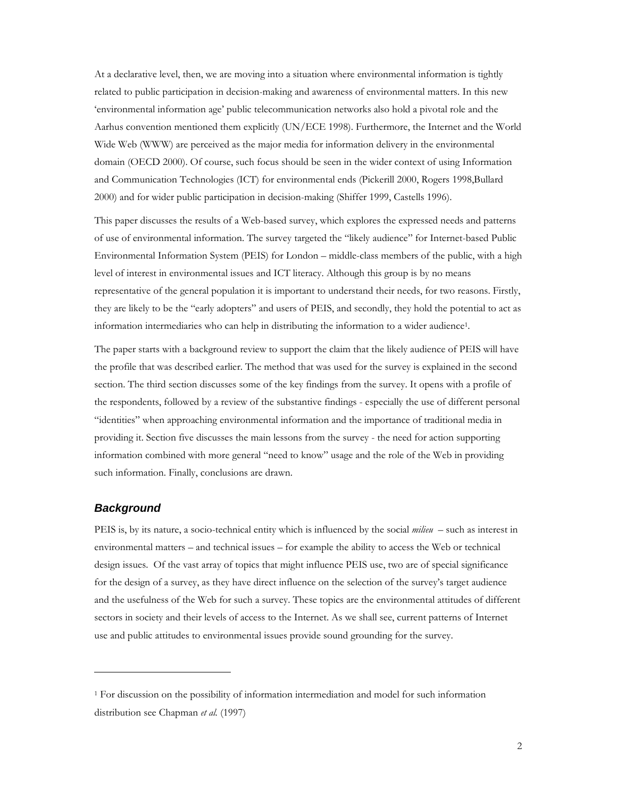At a declarative level, then, we are moving into a situation where environmental information is tightly related to public participation in decision-making and awareness of environmental matters. In this new 'environmental information age' public telecommunication networks also hold a pivotal role and the Aarhus convention mentioned them explicitly (UN/ECE 1998). Furthermore, the Internet and the World Wide Web (WWW) are perceived as the major media for information delivery in the environmental domain (OECD 2000). Of course, such focus should be seen in the wider context of using Information and Communication Technologies (ICT) for environmental ends (Pickerill 2000, Rogers 1998,Bullard 2000) and for wider public participation in decision-making (Shiffer 1999, Castells 1996).

This paper discusses the results of a Web-based survey, which explores the expressed needs and patterns of use of environmental information. The survey targeted the "likely audience" for Internet-based Public Environmental Information System (PEIS) for London – middle-class members of the public, with a high level of interest in environmental issues and ICT literacy. Although this group is by no means representative of the general population it is important to understand their needs, for two reasons. Firstly, they are likely to be the "early adopters" and users of PEIS, and secondly, they hold the potential to act as information intermediaries who can help in distributing the information to a wider audience<sup>1</sup> .

The paper starts with a background review to support the claim that the likely audience of PEIS will have the profile that was described earlier. The method that was used for the survey is explained in the second section. The third section discusses some of the key findings from the survey. It opens with a profile of the respondents, followed by a review of the substantive findings - especially the use of different personal "identities" when approaching environmental information and the importance of traditional media in providing it. Section five discusses the main lessons from the survey - the need for action supporting information combined with more general "need to know" usage and the role of the Web in providing such information. Finally, conclusions are drawn.

### **Background**

-

PEIS is, by its nature, a socio-technical entity which is influenced by the social *milieu* – such as interest in environmental matters – and technical issues – for example the ability to access the Web or technical design issues. Of the vast array of topics that might influence PEIS use, two are of special significance for the design of a survey, as they have direct influence on the selection of the survey's target audience and the usefulness of the Web for such a survey. These topics are the environmental attitudes of different sectors in society and their levels of access to the Internet. As we shall see, current patterns of Internet use and public attitudes to environmental issues provide sound grounding for the survey.

<sup>1</sup> For discussion on the possibility of information intermediation and model for such information distribution see Chapman et al. (1997)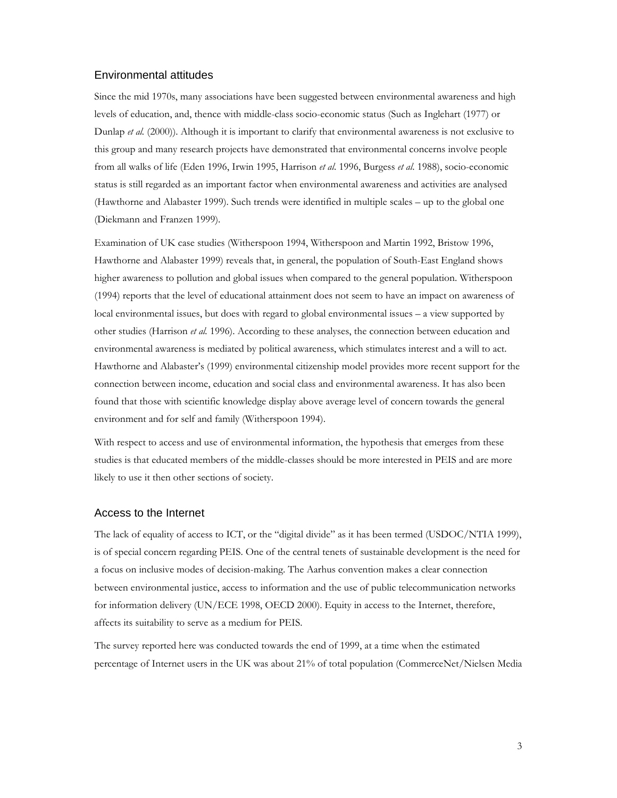## Environmental attitudes

Since the mid 1970s, many associations have been suggested between environmental awareness and high levels of education, and, thence with middle-class socio-economic status (Such as Inglehart (1977) or Dunlap et al. (2000)). Although it is important to clarify that environmental awareness is not exclusive to this group and many research projects have demonstrated that environmental concerns involve people from all walks of life (Eden 1996, Irwin 1995, Harrison et al. 1996, Burgess et al. 1988), socio-economic status is still regarded as an important factor when environmental awareness and activities are analysed (Hawthorne and Alabaster 1999). Such trends were identified in multiple scales – up to the global one (Diekmann and Franzen 1999).

Examination of UK case studies (Witherspoon 1994, Witherspoon and Martin 1992, Bristow 1996, Hawthorne and Alabaster 1999) reveals that, in general, the population of South-East England shows higher awareness to pollution and global issues when compared to the general population. Witherspoon (1994) reports that the level of educational attainment does not seem to have an impact on awareness of local environmental issues, but does with regard to global environmental issues – a view supported by other studies (Harrison et al. 1996). According to these analyses, the connection between education and environmental awareness is mediated by political awareness, which stimulates interest and a will to act. Hawthorne and Alabaster's (1999) environmental citizenship model provides more recent support for the connection between income, education and social class and environmental awareness. It has also been found that those with scientific knowledge display above average level of concern towards the general environment and for self and family (Witherspoon 1994).

With respect to access and use of environmental information, the hypothesis that emerges from these studies is that educated members of the middle-classes should be more interested in PEIS and are more likely to use it then other sections of society.

#### Access to the Internet

The lack of equality of access to ICT, or the "digital divide" as it has been termed (USDOC/NTIA 1999), is of special concern regarding PEIS. One of the central tenets of sustainable development is the need for a focus on inclusive modes of decision-making. The Aarhus convention makes a clear connection between environmental justice, access to information and the use of public telecommunication networks for information delivery (UN/ECE 1998, OECD 2000). Equity in access to the Internet, therefore, affects its suitability to serve as a medium for PEIS.

The survey reported here was conducted towards the end of 1999, at a time when the estimated percentage of Internet users in the UK was about 21% of total population (CommerceNet/Nielsen Media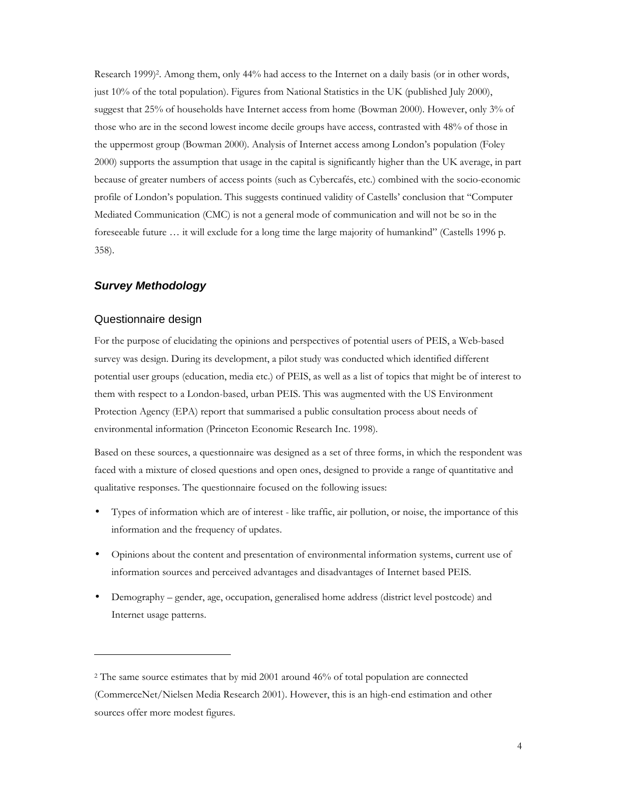Research 1999)<sup>2</sup> . Among them, only 44% had access to the Internet on a daily basis (or in other words, just 10% of the total population). Figures from National Statistics in the UK (published July 2000), suggest that 25% of households have Internet access from home (Bowman 2000). However, only 3% of those who are in the second lowest income decile groups have access, contrasted with 48% of those in the uppermost group (Bowman 2000). Analysis of Internet access among London's population (Foley 2000) supports the assumption that usage in the capital is significantly higher than the UK average, in part because of greater numbers of access points (such as Cybercafés, etc.) combined with the socio-economic profile of London's population. This suggests continued validity of Castells' conclusion that "Computer Mediated Communication (CMC) is not a general mode of communication and will not be so in the foreseeable future … it will exclude for a long time the large majority of humankind" (Castells 1996 p. 358).

## **Survey Methodology**

## Questionnaire design

-

For the purpose of elucidating the opinions and perspectives of potential users of PEIS, a Web-based survey was design. During its development, a pilot study was conducted which identified different potential user groups (education, media etc.) of PEIS, as well as a list of topics that might be of interest to them with respect to a London-based, urban PEIS. This was augmented with the US Environment Protection Agency (EPA) report that summarised a public consultation process about needs of environmental information (Princeton Economic Research Inc. 1998).

Based on these sources, a questionnaire was designed as a set of three forms, in which the respondent was faced with a mixture of closed questions and open ones, designed to provide a range of quantitative and qualitative responses. The questionnaire focused on the following issues:

- Types of information which are of interest like traffic, air pollution, or noise, the importance of this information and the frequency of updates.
- Opinions about the content and presentation of environmental information systems, current use of information sources and perceived advantages and disadvantages of Internet based PEIS.
- Demography gender, age, occupation, generalised home address (district level postcode) and Internet usage patterns.

<sup>2</sup> The same source estimates that by mid 2001 around 46% of total population are connected (CommerceNet/Nielsen Media Research 2001). However, this is an high-end estimation and other sources offer more modest figures.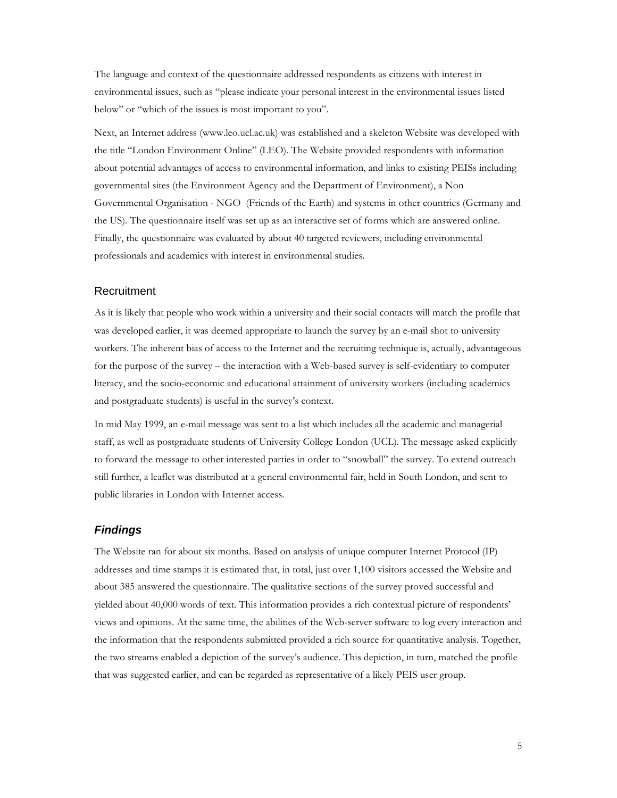The language and context of the questionnaire addressed respondents as citizens with interest in environmental issues, such as "please indicate your personal interest in the environmental issues listed below" or "which of the issues is most important to you".

Next, an Internet address (www.leo.ucl.ac.uk) was established and a skeleton Website was developed with the title "London Environment Online" (LEO). The Website provided respondents with information about potential advantages of access to environmental information, and links to existing PEISs including governmental sites (the Environment Agency and the Department of Environment), a Non Governmental Organisation - NGO (Friends of the Earth) and systems in other countries (Germany and the US). The questionnaire itself was set up as an interactive set of forms which are answered online. Finally, the questionnaire was evaluated by about 40 targeted reviewers, including environmental professionals and academics with interest in environmental studies.

## Recruitment

As it is likely that people who work within a university and their social contacts will match the profile that was developed earlier, it was deemed appropriate to launch the survey by an e-mail shot to university workers. The inherent bias of access to the Internet and the recruiting technique is, actually, advantageous for the purpose of the survey – the interaction with a Web-based survey is self-evidentiary to computer literacy, and the socio-economic and educational attainment of university workers (including academics and postgraduate students) is useful in the survey's context.

In mid May 1999, an e-mail message was sent to a list which includes all the academic and managerial staff, as well as postgraduate students of University College London (UCL). The message asked explicitly to forward the message to other interested parties in order to "snowball" the survey. To extend outreach still further, a leaflet was distributed at a general environmental fair, held in South London, and sent to public libraries in London with Internet access.

#### **Findings**

The Website ran for about six months. Based on analysis of unique computer Internet Protocol (IP) addresses and time stamps it is estimated that, in total, just over 1,100 visitors accessed the Website and about 385 answered the questionnaire. The qualitative sections of the survey proved successful and yielded about 40,000 words of text. This information provides a rich contextual picture of respondents' views and opinions. At the same time, the abilities of the Web-server software to log every interaction and the information that the respondents submitted provided a rich source for quantitative analysis. Together, the two streams enabled a depiction of the survey's audience. This depiction, in turn, matched the profile that was suggested earlier, and can be regarded as representative of a likely PEIS user group.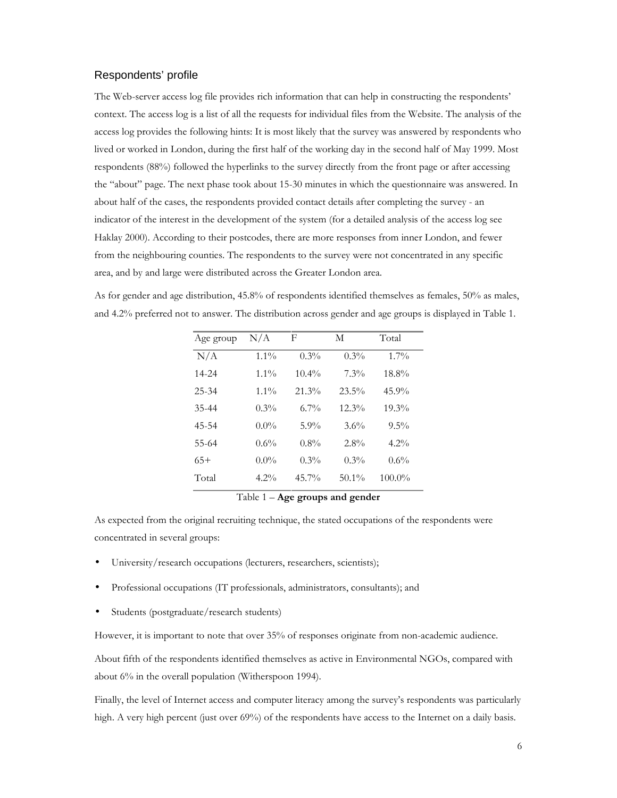## Respondents' profile

The Web-server access log file provides rich information that can help in constructing the respondents' context. The access log is a list of all the requests for individual files from the Website. The analysis of the access log provides the following hints: It is most likely that the survey was answered by respondents who lived or worked in London, during the first half of the working day in the second half of May 1999. Most respondents (88%) followed the hyperlinks to the survey directly from the front page or after accessing the "about" page. The next phase took about 15-30 minutes in which the questionnaire was answered. In about half of the cases, the respondents provided contact details after completing the survey - an indicator of the interest in the development of the system (for a detailed analysis of the access log see Haklay 2000). According to their postcodes, there are more responses from inner London, and fewer from the neighbouring counties. The respondents to the survey were not concentrated in any specific area, and by and large were distributed across the Greater London area.

As for gender and age distribution, 45.8% of respondents identified themselves as females, 50% as males, and 4.2% preferred not to answer. The distribution across gender and age groups is displayed in Table 1.

| Age group | $\rm N/A$ | F        | М        | Total     |
|-----------|-----------|----------|----------|-----------|
| N/A       | $1.1\%$   | $0.3\%$  | $0.3\%$  | $1.7\%$   |
| 14-24     | $1.1\%$   | $10.4\%$ | 7.3%     | 18.8%     |
| $25 - 34$ | $1.1\%$   | $21.3\%$ | $23.5\%$ | $45.9\%$  |
| 35-44     | $0.3\%$   | $6.7\%$  | $12.3\%$ | $19.3\%$  |
| 45-54     | $0.0\%$   | $5.9\%$  | 3.6%     | $9.5\%$   |
| 55-64     | 0.6%      | $0.8\%$  | $2.8\%$  | $4.2\%$   |
| $65+$     | $0.0\%$   | $0.3\%$  | $0.3\%$  | 0.6%      |
| Total     | $4.2\%$   | $45.7\%$ | $50.1\%$ | $100.0\%$ |

Table 1 – Age groups and gender

As expected from the original recruiting technique, the stated occupations of the respondents were concentrated in several groups:

- University/research occupations (lecturers, researchers, scientists);
- Professional occupations (IT professionals, administrators, consultants); and
- Students (postgraduate/research students)

However, it is important to note that over 35% of responses originate from non-academic audience.

About fifth of the respondents identified themselves as active in Environmental NGOs, compared with about 6% in the overall population (Witherspoon 1994).

Finally, the level of Internet access and computer literacy among the survey's respondents was particularly high. A very high percent (just over 69%) of the respondents have access to the Internet on a daily basis.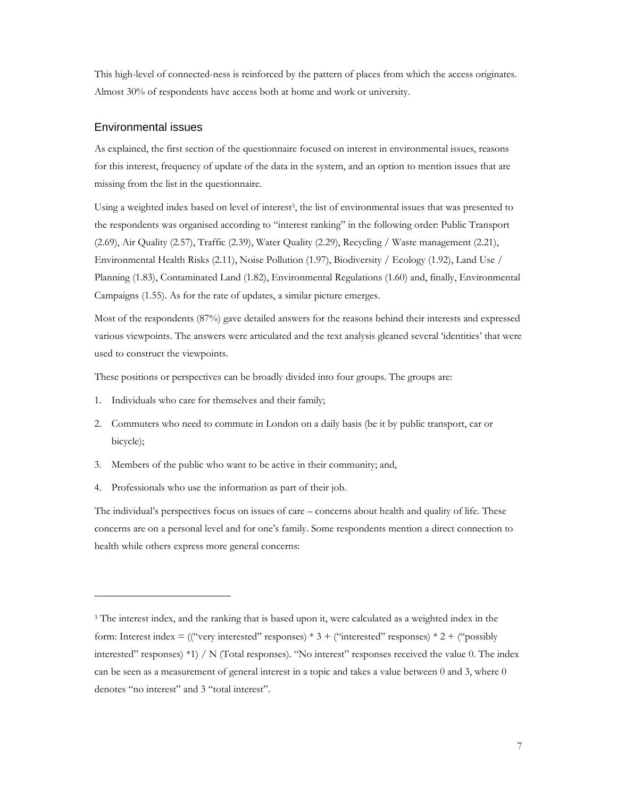This high-level of connected-ness is reinforced by the pattern of places from which the access originates. Almost 30% of respondents have access both at home and work or university.

### Environmental issues

-

As explained, the first section of the questionnaire focused on interest in environmental issues, reasons for this interest, frequency of update of the data in the system, and an option to mention issues that are missing from the list in the questionnaire.

Using a weighted index based on level of interest<sup>3</sup>, the list of environmental issues that was presented to the respondents was organised according to "interest ranking" in the following order: Public Transport (2.69), Air Quality (2.57), Traffic (2.39), Water Quality (2.29), Recycling / Waste management (2.21), Environmental Health Risks (2.11), Noise Pollution (1.97), Biodiversity / Ecology (1.92), Land Use / Planning (1.83), Contaminated Land (1.82), Environmental Regulations (1.60) and, finally, Environmental Campaigns (1.55). As for the rate of updates, a similar picture emerges.

Most of the respondents (87%) gave detailed answers for the reasons behind their interests and expressed various viewpoints. The answers were articulated and the text analysis gleaned several 'identities' that were used to construct the viewpoints.

These positions or perspectives can be broadly divided into four groups. The groups are:

- 1. Individuals who care for themselves and their family;
- 2. Commuters who need to commute in London on a daily basis (be it by public transport, car or bicycle);
- 3. Members of the public who want to be active in their community; and,
- 4. Professionals who use the information as part of their job.

The individual's perspectives focus on issues of care – concerns about health and quality of life. These concerns are on a personal level and for one's family. Some respondents mention a direct connection to health while others express more general concerns:

<sup>&</sup>lt;sup>3</sup> The interest index, and the ranking that is based upon it, were calculated as a weighted index in the form: Interest index = (("very interested" responses)  $*$  3 + ("interested" responses)  $*$  2 + ("possibly interested" responses) \*1) / N (Total responses). "No interest" responses received the value 0. The index can be seen as a measurement of general interest in a topic and takes a value between 0 and 3, where 0 denotes "no interest" and 3 "total interest".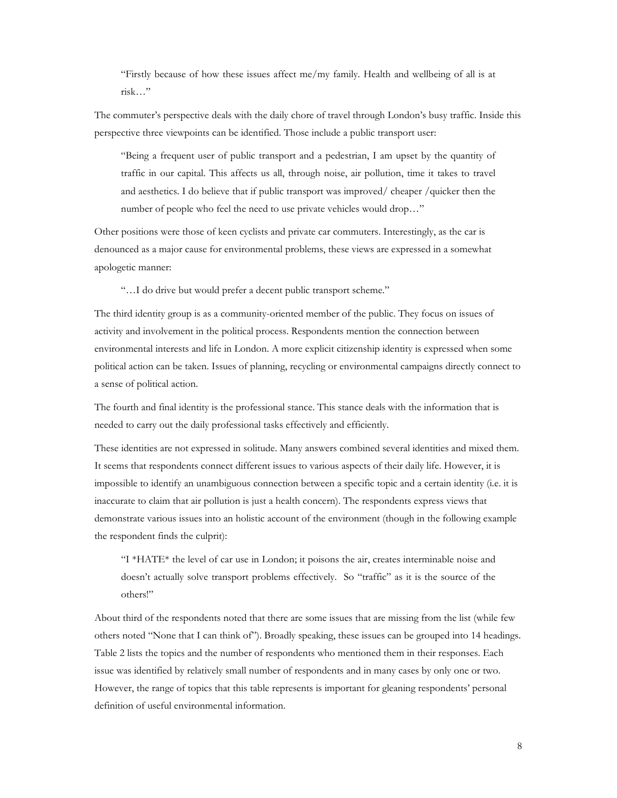"Firstly because of how these issues affect me/my family. Health and wellbeing of all is at risk…"

The commuter's perspective deals with the daily chore of travel through London's busy traffic. Inside this perspective three viewpoints can be identified. Those include a public transport user:

"Being a frequent user of public transport and a pedestrian, I am upset by the quantity of traffic in our capital. This affects us all, through noise, air pollution, time it takes to travel and aesthetics. I do believe that if public transport was improved/ cheaper /quicker then the number of people who feel the need to use private vehicles would drop…"

Other positions were those of keen cyclists and private car commuters. Interestingly, as the car is denounced as a major cause for environmental problems, these views are expressed in a somewhat apologetic manner:

"…I do drive but would prefer a decent public transport scheme."

The third identity group is as a community-oriented member of the public. They focus on issues of activity and involvement in the political process. Respondents mention the connection between environmental interests and life in London. A more explicit citizenship identity is expressed when some political action can be taken. Issues of planning, recycling or environmental campaigns directly connect to a sense of political action.

The fourth and final identity is the professional stance. This stance deals with the information that is needed to carry out the daily professional tasks effectively and efficiently.

These identities are not expressed in solitude. Many answers combined several identities and mixed them. It seems that respondents connect different issues to various aspects of their daily life. However, it is impossible to identify an unambiguous connection between a specific topic and a certain identity (i.e. it is inaccurate to claim that air pollution is just a health concern). The respondents express views that demonstrate various issues into an holistic account of the environment (though in the following example the respondent finds the culprit):

"I \*HATE\* the level of car use in London; it poisons the air, creates interminable noise and doesn't actually solve transport problems effectively. So "traffic" as it is the source of the others!"

About third of the respondents noted that there are some issues that are missing from the list (while few others noted "None that I can think of"). Broadly speaking, these issues can be grouped into 14 headings. Table 2 lists the topics and the number of respondents who mentioned them in their responses. Each issue was identified by relatively small number of respondents and in many cases by only one or two. However, the range of topics that this table represents is important for gleaning respondents' personal definition of useful environmental information.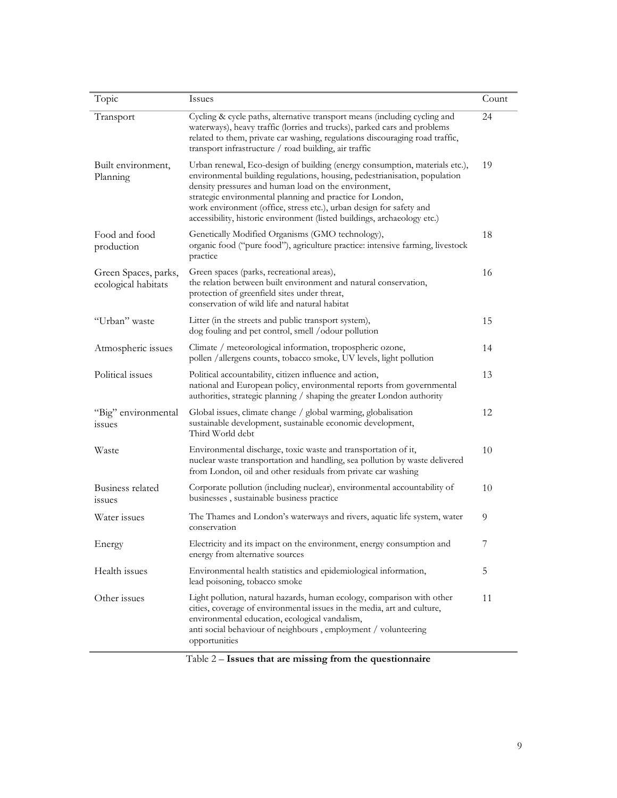| Topic                                       | Issues                                                                                                                                                                                                                                                                                                                                                                                                                            | Count |
|---------------------------------------------|-----------------------------------------------------------------------------------------------------------------------------------------------------------------------------------------------------------------------------------------------------------------------------------------------------------------------------------------------------------------------------------------------------------------------------------|-------|
| Transport                                   | Cycling & cycle paths, alternative transport means (including cycling and<br>waterways), heavy traffic (lorries and trucks), parked cars and problems<br>related to them, private car washing, regulations discouraging road traffic,<br>transport infrastructure / road building, air traffic                                                                                                                                    | 24    |
| Built environment,<br>Planning              | Urban renewal, Eco-design of building (energy consumption, materials etc.),<br>environmental building regulations, housing, pedestrianisation, population<br>density pressures and human load on the environment,<br>strategic environmental planning and practice for London,<br>work environment (office, stress etc.), urban design for safety and<br>accessibility, historic environment (listed buildings, archaeology etc.) |       |
| Food and food<br>production                 | Genetically Modified Organisms (GMO technology),<br>organic food ("pure food"), agriculture practice: intensive farming, livestock<br>practice                                                                                                                                                                                                                                                                                    | 18    |
| Green Spaces, parks,<br>ecological habitats | Green spaces (parks, recreational areas),<br>the relation between built environment and natural conservation,<br>protection of greenfield sites under threat,<br>conservation of wild life and natural habitat                                                                                                                                                                                                                    | 16    |
| "Urban" waste                               | Litter (in the streets and public transport system),<br>dog fouling and pet control, smell /odour pollution                                                                                                                                                                                                                                                                                                                       | 15    |
| Atmospheric issues                          | Climate / meteorological information, tropospheric ozone,<br>pollen /allergens counts, tobacco smoke, UV levels, light pollution                                                                                                                                                                                                                                                                                                  | 14    |
| Political issues                            | Political accountability, citizen influence and action,<br>national and European policy, environmental reports from governmental<br>authorities, strategic planning / shaping the greater London authority                                                                                                                                                                                                                        | 13    |
| "Big" environmental<br><i>ssues</i>         | Global issues, climate change / global warming, globalisation<br>sustainable development, sustainable economic development,<br>Third World debt                                                                                                                                                                                                                                                                                   | 12    |
| Waste                                       | Environmental discharge, toxic waste and transportation of it,<br>nuclear waste transportation and handling, sea pollution by waste delivered<br>from London, oil and other residuals from private car washing                                                                                                                                                                                                                    | 10    |
| Business related<br><i>ssues</i>            | Corporate pollution (including nuclear), environmental accountability of<br>businesses, sustainable business practice                                                                                                                                                                                                                                                                                                             | 10    |
| Water issues                                | The Thames and London's waterways and rivers, aquatic life system, water<br>conservation                                                                                                                                                                                                                                                                                                                                          | 9     |
| Energy                                      | Electricity and its impact on the environment, energy consumption and<br>energy from alternative sources                                                                                                                                                                                                                                                                                                                          | 7     |
| Health issues                               | Environmental health statistics and epidemiological information,<br>lead poisoning, tobacco smoke                                                                                                                                                                                                                                                                                                                                 | 5     |
| Other issues                                | Light pollution, natural hazards, human ecology, comparison with other<br>cities, coverage of environmental issues in the media, art and culture,<br>environmental education, ecological vandalism,<br>anti social behaviour of neighbours, employment / volunteering<br>opportunities                                                                                                                                            | 11    |

Table 2 – Issues that are missing from the questionnaire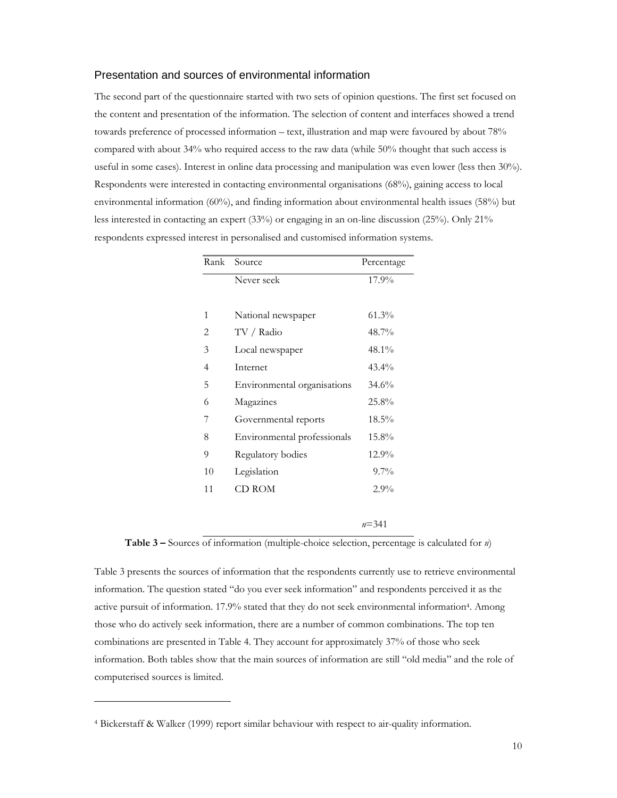## Presentation and sources of environmental information

The second part of the questionnaire started with two sets of opinion questions. The first set focused on the content and presentation of the information. The selection of content and interfaces showed a trend towards preference of processed information – text, illustration and map were favoured by about 78% compared with about 34% who required access to the raw data (while 50% thought that such access is useful in some cases). Interest in online data processing and manipulation was even lower (less then 30%). Respondents were interested in contacting environmental organisations (68%), gaining access to local environmental information (60%), and finding information about environmental health issues (58%) but less interested in contacting an expert (33%) or engaging in an on-line discussion (25%). Only 21% respondents expressed interest in personalised and customised information systems.

|    | Rank Source                 | Percentage |
|----|-----------------------------|------------|
|    | Never seek                  | 17.9%      |
|    |                             |            |
| 1  | National newspaper          | $61.3\%$   |
| 2  | TV / Radio                  | 48.7%      |
| 3  | Local newspaper             | 48.1%      |
| 4  | Internet                    | $43.4\%$   |
| 5  | Environmental organisations | 34.6%      |
| 6  | Magazines                   | 25.8%      |
| 7  | Governmental reports        | 18.5%      |
| 8  | Environmental professionals | 15.8%      |
| 9  | Regulatory bodies           | 12.9%      |
| 10 | Legislation                 | $9.7\%$    |
| 11 | CD ROM                      | $2.9\%$    |
|    |                             |            |

 $n=341$ 

Table 3 – Sources of information (multiple-choice selection, percentage is calculated for n)

Table 3 presents the sources of information that the respondents currently use to retrieve environmental information. The question stated "do you ever seek information" and respondents perceived it as the active pursuit of information. 17.9% stated that they do not seek environmental information<sup>4</sup>. Among those who do actively seek information, there are a number of common combinations. The top ten combinations are presented in Table 4. They account for approximately 37% of those who seek information. Both tables show that the main sources of information are still "old media" and the role of computerised sources is limited.

-

<sup>4</sup> Bickerstaff & Walker (1999) report similar behaviour with respect to air-quality information.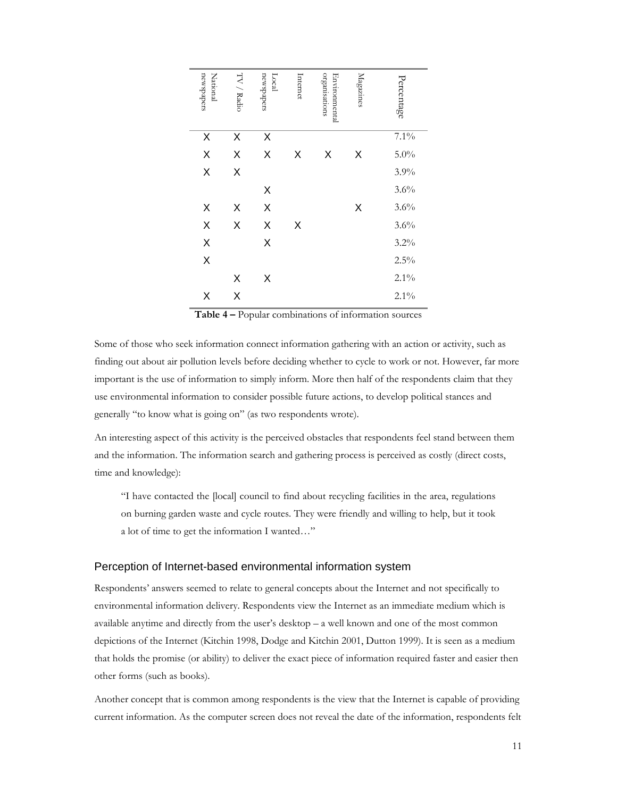| newspapers<br>National | $\rm{TV}$ / Radio | newspapers<br>Local | Internet | organisations<br>Environmental | Magazines | Percentage |
|------------------------|-------------------|---------------------|----------|--------------------------------|-----------|------------|
| X                      | Χ                 | X                   |          |                                |           | $7.1\%$    |
| X                      | X                 | X                   | Χ        | X                              | Χ         | $5.0\%$    |
| X                      | X                 |                     |          |                                |           | 3.9%       |
|                        |                   | X                   |          |                                |           | $3.6\%$    |
| X                      | Χ                 | X                   |          |                                | Χ         | $3.6\%$    |
| X                      | X                 | X                   | Χ        |                                |           | 3.6%       |
| X                      |                   | X                   |          |                                |           | 3.2%       |
| X                      |                   |                     |          |                                |           | $2.5\%$    |
|                        | X                 | Χ                   |          |                                |           | $2.1\%$    |
| Χ                      | X                 |                     |          |                                |           | $2.1\%$    |

Table 4 – Popular combinations of information sources

Some of those who seek information connect information gathering with an action or activity, such as finding out about air pollution levels before deciding whether to cycle to work or not. However, far more important is the use of information to simply inform. More then half of the respondents claim that they use environmental information to consider possible future actions, to develop political stances and generally "to know what is going on" (as two respondents wrote).

An interesting aspect of this activity is the perceived obstacles that respondents feel stand between them and the information. The information search and gathering process is perceived as costly (direct costs, time and knowledge):

"I have contacted the [local] council to find about recycling facilities in the area, regulations on burning garden waste and cycle routes. They were friendly and willing to help, but it took a lot of time to get the information I wanted…"

#### Perception of Internet-based environmental information system

Respondents' answers seemed to relate to general concepts about the Internet and not specifically to environmental information delivery. Respondents view the Internet as an immediate medium which is available anytime and directly from the user's desktop – a well known and one of the most common depictions of the Internet (Kitchin 1998, Dodge and Kitchin 2001, Dutton 1999). It is seen as a medium that holds the promise (or ability) to deliver the exact piece of information required faster and easier then other forms (such as books).

Another concept that is common among respondents is the view that the Internet is capable of providing current information. As the computer screen does not reveal the date of the information, respondents felt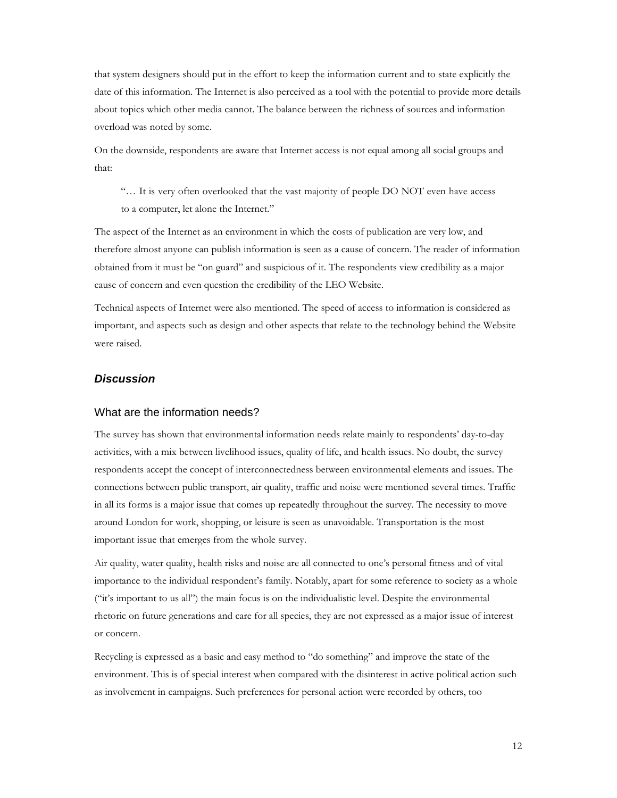that system designers should put in the effort to keep the information current and to state explicitly the date of this information. The Internet is also perceived as a tool with the potential to provide more details about topics which other media cannot. The balance between the richness of sources and information overload was noted by some.

On the downside, respondents are aware that Internet access is not equal among all social groups and that:

"… It is very often overlooked that the vast majority of people DO NOT even have access to a computer, let alone the Internet."

The aspect of the Internet as an environment in which the costs of publication are very low, and therefore almost anyone can publish information is seen as a cause of concern. The reader of information obtained from it must be "on guard" and suspicious of it. The respondents view credibility as a major cause of concern and even question the credibility of the LEO Website.

Technical aspects of Internet were also mentioned. The speed of access to information is considered as important, and aspects such as design and other aspects that relate to the technology behind the Website were raised.

## **Discussion**

#### What are the information needs?

The survey has shown that environmental information needs relate mainly to respondents' day-to-day activities, with a mix between livelihood issues, quality of life, and health issues. No doubt, the survey respondents accept the concept of interconnectedness between environmental elements and issues. The connections between public transport, air quality, traffic and noise were mentioned several times. Traffic in all its forms is a major issue that comes up repeatedly throughout the survey. The necessity to move around London for work, shopping, or leisure is seen as unavoidable. Transportation is the most important issue that emerges from the whole survey.

Air quality, water quality, health risks and noise are all connected to one's personal fitness and of vital importance to the individual respondent's family. Notably, apart for some reference to society as a whole ("it's important to us all") the main focus is on the individualistic level. Despite the environmental rhetoric on future generations and care for all species, they are not expressed as a major issue of interest or concern.

Recycling is expressed as a basic and easy method to "do something" and improve the state of the environment. This is of special interest when compared with the disinterest in active political action such as involvement in campaigns. Such preferences for personal action were recorded by others, too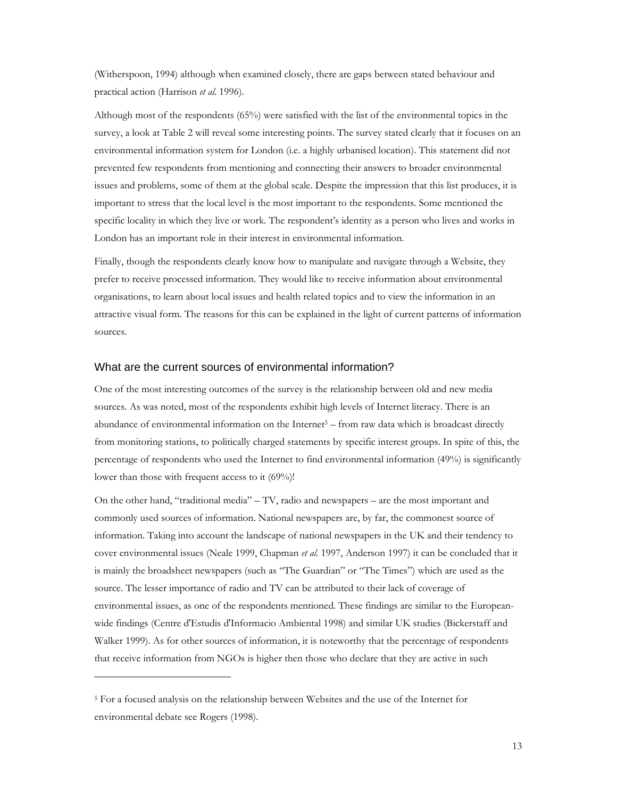(Witherspoon, 1994) although when examined closely, there are gaps between stated behaviour and practical action (Harrison et al. 1996).

Although most of the respondents (65%) were satisfied with the list of the environmental topics in the survey, a look at Table 2 will reveal some interesting points. The survey stated clearly that it focuses on an environmental information system for London (i.e. a highly urbanised location). This statement did not prevented few respondents from mentioning and connecting their answers to broader environmental issues and problems, some of them at the global scale. Despite the impression that this list produces, it is important to stress that the local level is the most important to the respondents. Some mentioned the specific locality in which they live or work. The respondent's identity as a person who lives and works in London has an important role in their interest in environmental information.

Finally, though the respondents clearly know how to manipulate and navigate through a Website, they prefer to receive processed information. They would like to receive information about environmental organisations, to learn about local issues and health related topics and to view the information in an attractive visual form. The reasons for this can be explained in the light of current patterns of information sources.

#### What are the current sources of environmental information?

One of the most interesting outcomes of the survey is the relationship between old and new media sources. As was noted, most of the respondents exhibit high levels of Internet literacy. There is an abundance of environmental information on the Internet<sup>5</sup> - from raw data which is broadcast directly from monitoring stations, to politically charged statements by specific interest groups. In spite of this, the percentage of respondents who used the Internet to find environmental information (49%) is significantly lower than those with frequent access to it (69%)!

On the other hand, "traditional media" – TV, radio and newspapers – are the most important and commonly used sources of information. National newspapers are, by far, the commonest source of information. Taking into account the landscape of national newspapers in the UK and their tendency to cover environmental issues (Neale 1999, Chapman et al. 1997, Anderson 1997) it can be concluded that it is mainly the broadsheet newspapers (such as "The Guardian" or "The Times") which are used as the source. The lesser importance of radio and TV can be attributed to their lack of coverage of environmental issues, as one of the respondents mentioned. These findings are similar to the Europeanwide findings (Centre d'Estudis d'Informacio Ambiental 1998) and similar UK studies (Bickerstaff and Walker 1999). As for other sources of information, it is noteworthy that the percentage of respondents that receive information from NGOs is higher then those who declare that they are active in such

-

<sup>&</sup>lt;sup>5</sup> For a focused analysis on the relationship between Websites and the use of the Internet for environmental debate see Rogers (1998).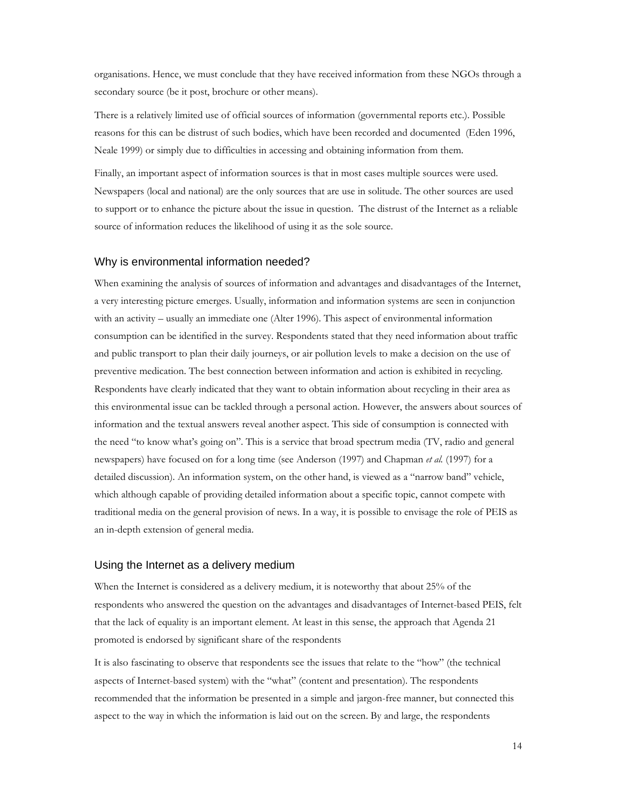organisations. Hence, we must conclude that they have received information from these NGOs through a secondary source (be it post, brochure or other means).

There is a relatively limited use of official sources of information (governmental reports etc.). Possible reasons for this can be distrust of such bodies, which have been recorded and documented (Eden 1996, Neale 1999) or simply due to difficulties in accessing and obtaining information from them.

Finally, an important aspect of information sources is that in most cases multiple sources were used. Newspapers (local and national) are the only sources that are use in solitude. The other sources are used to support or to enhance the picture about the issue in question. The distrust of the Internet as a reliable source of information reduces the likelihood of using it as the sole source.

## Why is environmental information needed?

When examining the analysis of sources of information and advantages and disadvantages of the Internet, a very interesting picture emerges. Usually, information and information systems are seen in conjunction with an activity – usually an immediate one (Alter 1996). This aspect of environmental information consumption can be identified in the survey. Respondents stated that they need information about traffic and public transport to plan their daily journeys, or air pollution levels to make a decision on the use of preventive medication. The best connection between information and action is exhibited in recycling. Respondents have clearly indicated that they want to obtain information about recycling in their area as this environmental issue can be tackled through a personal action. However, the answers about sources of information and the textual answers reveal another aspect. This side of consumption is connected with the need "to know what's going on". This is a service that broad spectrum media (TV, radio and general newspapers) have focused on for a long time (see Anderson (1997) and Chapman et al. (1997) for a detailed discussion). An information system, on the other hand, is viewed as a "narrow band" vehicle, which although capable of providing detailed information about a specific topic, cannot compete with traditional media on the general provision of news. In a way, it is possible to envisage the role of PEIS as an in-depth extension of general media.

#### Using the Internet as a delivery medium

When the Internet is considered as a delivery medium, it is noteworthy that about 25% of the respondents who answered the question on the advantages and disadvantages of Internet-based PEIS, felt that the lack of equality is an important element. At least in this sense, the approach that Agenda 21 promoted is endorsed by significant share of the respondents

It is also fascinating to observe that respondents see the issues that relate to the "how" (the technical aspects of Internet-based system) with the "what" (content and presentation). The respondents recommended that the information be presented in a simple and jargon-free manner, but connected this aspect to the way in which the information is laid out on the screen. By and large, the respondents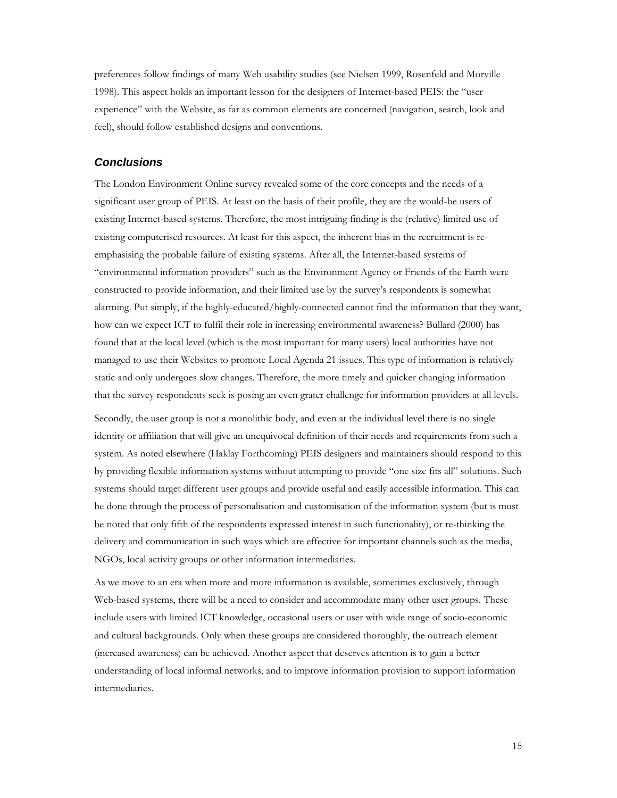preferences follow findings of many Web usability studies (see Nielsen 1999, Rosenfeld and Morville 1998). This aspect holds an important lesson for the designers of Internet-based PEIS: the "user experience" with the Website, as far as common elements are concerned (navigation, search, look and feel), should follow established designs and conventions.

#### **Conclusions**

The London Environment Online survey revealed some of the core concepts and the needs of a significant user group of PEIS. At least on the basis of their profile, they are the would-be users of existing Internet-based systems. Therefore, the most intriguing finding is the (relative) limited use of existing computerised resources. At least for this aspect, the inherent bias in the recruitment is reemphasising the probable failure of existing systems. After all, the Internet-based systems of "environmental information providers" such as the Environment Agency or Friends of the Earth were constructed to provide information, and their limited use by the survey's respondents is somewhat alarming. Put simply, if the highly-educated/highly-connected cannot find the information that they want, how can we expect ICT to fulfil their role in increasing environmental awareness? Bullard (2000) has found that at the local level (which is the most important for many users) local authorities have not managed to use their Websites to promote Local Agenda 21 issues. This type of information is relatively static and only undergoes slow changes. Therefore, the more timely and quicker changing information that the survey respondents seek is posing an even grater challenge for information providers at all levels.

Secondly, the user group is not a monolithic body, and even at the individual level there is no single identity or affiliation that will give an unequivocal definition of their needs and requirements from such a system. As noted elsewhere (Haklay Forthcoming) PEIS designers and maintainers should respond to this by providing flexible information systems without attempting to provide "one size fits all" solutions. Such systems should target different user groups and provide useful and easily accessible information. This can be done through the process of personalisation and customisation of the information system (but is must be noted that only fifth of the respondents expressed interest in such functionality), or re-thinking the delivery and communication in such ways which are effective for important channels such as the media, NGOs, local activity groups or other information intermediaries.

As we move to an era when more and more information is available, sometimes exclusively, through Web-based systems, there will be a need to consider and accommodate many other user groups. These include users with limited ICT knowledge, occasional users or user with wide range of socio-economic and cultural backgrounds. Only when these groups are considered thoroughly, the outreach element (increased awareness) can be achieved. Another aspect that deserves attention is to gain a better understanding of local informal networks, and to improve information provision to support information intermediaries.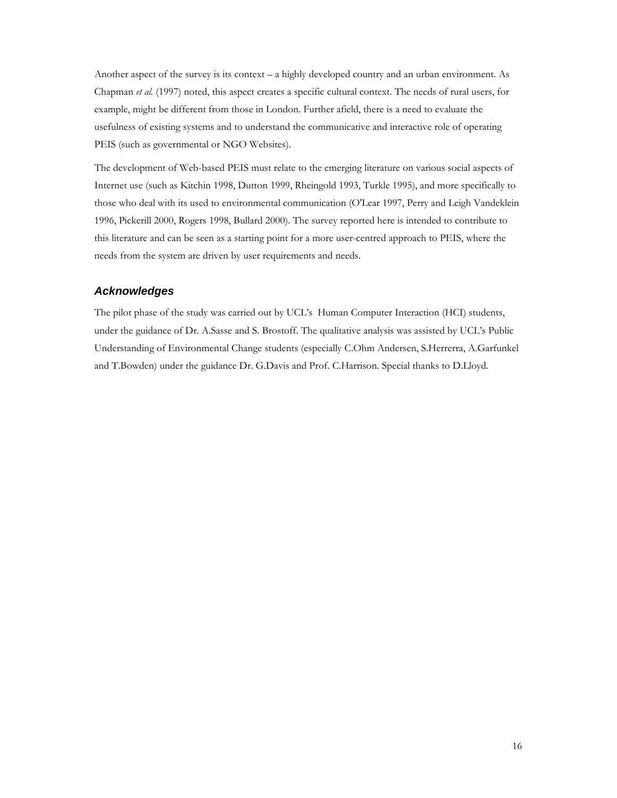Another aspect of the survey is its context – a highly developed country and an urban environment. As Chapman et al. (1997) noted, this aspect creates a specific cultural context. The needs of rural users, for example, might be different from those in London. Further afield, there is a need to evaluate the usefulness of existing systems and to understand the communicative and interactive role of operating PEIS (such as governmental or NGO Websites).

The development of Web-based PEIS must relate to the emerging literature on various social aspects of Internet use (such as Kitchin 1998, Dutton 1999, Rheingold 1993, Turkle 1995), and more specifically to those who deal with its used to environmental communication (O'Lear 1997, Perry and Leigh Vandeklein 1996, Pickerill 2000, Rogers 1998, Bullard 2000). The survey reported here is intended to contribute to this literature and can be seen as a starting point for a more user-centred approach to PEIS, where the needs from the system are driven by user requirements and needs.

## **Acknowledges**

The pilot phase of the study was carried out by UCL's Human Computer Interaction (HCI) students, under the guidance of Dr. A.Sasse and S. Brostoff. The qualitative analysis was assisted by UCL's Public Understanding of Environmental Change students (especially C.Ohm Andersen, S.Herrerra, A.Garfunkel and T.Bowden) under the guidance Dr. G.Davis and Prof. C.Harrison. Special thanks to D.Lloyd.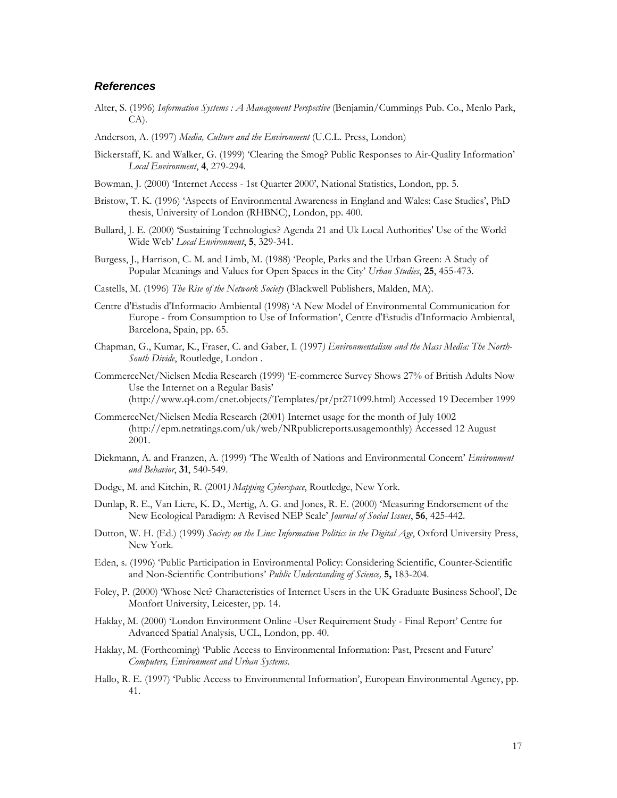## **References**

- Alter, S. (1996) Information Systems : A Management Perspective (Benjamin/Cummings Pub. Co., Menlo Park, CA).
- Anderson, A. (1997) Media, Culture and the Environment (U.C.L. Press, London)
- Bickerstaff, K. and Walker, G. (1999) 'Clearing the Smog? Public Responses to Air-Quality Information' Local Environment, 4, 279-294.
- Bowman, J. (2000) 'Internet Access 1st Quarter 2000', National Statistics, London, pp. 5.
- Bristow, T. K. (1996) 'Aspects of Environmental Awareness in England and Wales: Case Studies', PhD thesis, University of London (RHBNC), London, pp. 400.
- Bullard, J. E. (2000) 'Sustaining Technologies? Agenda 21 and Uk Local Authorities' Use of the World Wide Web' Local Environment, 5, 329-341.
- Burgess, J., Harrison, C. M. and Limb, M. (1988) 'People, Parks and the Urban Green: A Study of Popular Meanings and Values for Open Spaces in the City' Urban Studies, 25, 455-473.
- Castells, M. (1996) The Rise of the Network Society (Blackwell Publishers, Malden, MA).
- Centre d'Estudis d'Informacio Ambiental (1998) 'A New Model of Environmental Communication for Europe - from Consumption to Use of Information', Centre d'Estudis d'Informacio Ambiental, Barcelona, Spain, pp. 65.
- Chapman, G., Kumar, K., Fraser, C. and Gaber, I. (1997) Environmentalism and the Mass Media: The North-South Divide, Routledge, London.
- CommerceNet/Nielsen Media Research (1999) 'E-commerce Survey Shows 27% of British Adults Now Use the Internet on a Regular Basis' (http://www.q4.com/cnet.objects/Templates/pr/pr271099.html) Accessed 19 December 1999
- CommerceNet/Nielsen Media Research (2001) Internet usage for the month of July 1002 (http://epm.netratings.com/uk/web/NRpublicreports.usagemonthly) Accessed 12 August 2001.
- Diekmann, A. and Franzen, A. (1999) 'The Wealth of Nations and Environmental Concern' Environment and Behavior, 31, 540-549.
- Dodge, M. and Kitchin, R. (2001) Mapping Cyberspace, Routledge, New York.
- Dunlap, R. E., Van Liere, K. D., Mertig, A. G. and Jones, R. E. (2000) 'Measuring Endorsement of the New Ecological Paradigm: A Revised NEP Scale' Journal of Social Issues, 56, 425-442.
- Dutton, W. H. (Ed.) (1999) Society on the Line: Information Politics in the Digital Age, Oxford University Press, New York.
- Eden, s. (1996) 'Public Participation in Environmental Policy: Considering Scientific, Counter-Scientific and Non-Scientific Contributions' Public Understanding of Science, 5, 183-204.
- Foley, P. (2000) 'Whose Net? Characteristics of Internet Users in the UK Graduate Business School', De Monfort University, Leicester, pp. 14.
- Haklay, M. (2000) 'London Environment Online -User Requirement Study Final Report' Centre for Advanced Spatial Analysis, UCL, London, pp. 40.
- Haklay, M. (Forthcoming) 'Public Access to Environmental Information: Past, Present and Future' Computers, Environment and Urban Systems.
- Hallo, R. E. (1997) 'Public Access to Environmental Information', European Environmental Agency, pp. 41.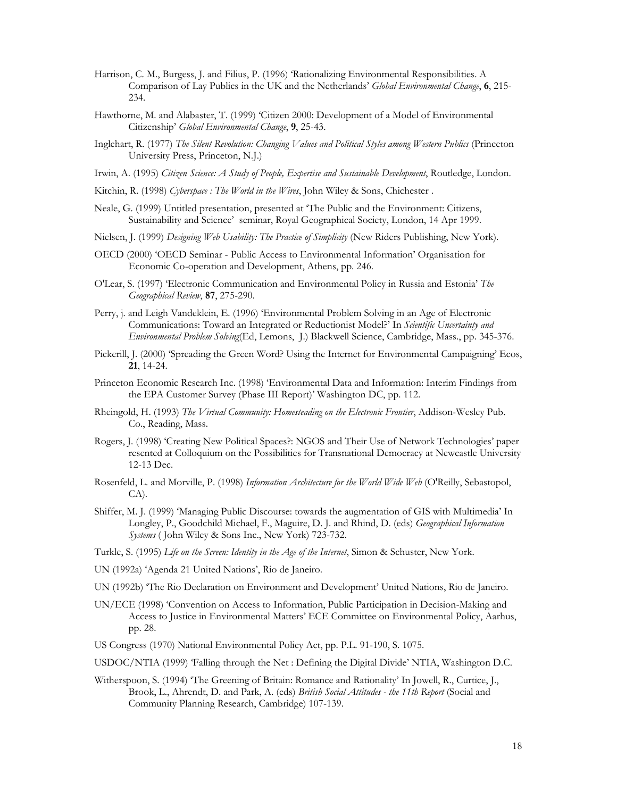- Harrison, C. M., Burgess, J. and Filius, P. (1996) 'Rationalizing Environmental Responsibilities. A Comparison of Lay Publics in the UK and the Netherlands' Global Environmental Change, 6, 215-234.
- Hawthorne, M. and Alabaster, T. (1999) 'Citizen 2000: Development of a Model of Environmental Citizenship' Global Environmental Change, 9, 25-43.
- Inglehart, R. (1977) The Silent Revolution: Changing Values and Political Styles among Western Publics (Princeton University Press, Princeton, N.J.)
- Irwin, A. (1995) Citizen Science: A Study of People, Expertise and Sustainable Development, Routledge, London.
- Kitchin, R. (1998) Cyberspace : The World in the Wires, John Wiley & Sons, Chichester.
- Neale, G. (1999) Untitled presentation, presented at 'The Public and the Environment: Citizens, Sustainability and Science' seminar, Royal Geographical Society, London, 14 Apr 1999.
- Nielsen, J. (1999) Designing Web Usability: The Practice of Simplicity (New Riders Publishing, New York).
- OECD (2000) 'OECD Seminar Public Access to Environmental Information' Organisation for Economic Co-operation and Development, Athens, pp. 246.
- O'Lear, S. (1997) 'Electronic Communication and Environmental Policy in Russia and Estonia' The Geographical Review, 87, 275-290.
- Perry, j. and Leigh Vandeklein, E. (1996) 'Environmental Problem Solving in an Age of Electronic Communications: Toward an Integrated or Reductionist Model?' In Scientific Uncertainty and Environmental Problem Solving(Ed, Lemons, J.) Blackwell Science, Cambridge, Mass., pp. 345-376.
- Pickerill, J. (2000) 'Spreading the Green Word? Using the Internet for Environmental Campaigning' Ecos, 21, 14-24.
- Princeton Economic Research Inc. (1998) 'Environmental Data and Information: Interim Findings from the EPA Customer Survey (Phase III Report)' Washington DC, pp. 112.
- Rheingold, H. (1993) The Virtual Community: Homesteading on the Electronic Frontier, Addison-Wesley Pub. Co., Reading, Mass.
- Rogers, J. (1998) 'Creating New Political Spaces?: NGOS and Their Use of Network Technologies' paper resented at Colloquium on the Possibilities for Transnational Democracy at Newcastle University 12-13 Dec.
- Rosenfeld, L. and Morville, P. (1998) Information Architecture for the World Wide Web (O'Reilly, Sebastopol, CA).
- Shiffer, M. J. (1999) 'Managing Public Discourse: towards the augmentation of GIS with Multimedia' In Longley, P., Goodchild Michael, F., Maguire, D. J. and Rhind, D. (eds) Geographical Information Systems ( John Wiley & Sons Inc., New York) 723-732.
- Turkle, S. (1995) Life on the Screen: Identity in the Age of the Internet, Simon & Schuster, New York.
- UN (1992a) 'Agenda 21 United Nations', Rio de Janeiro.
- UN (1992b) 'The Rio Declaration on Environment and Development' United Nations, Rio de Janeiro.
- UN/ECE (1998) 'Convention on Access to Information, Public Participation in Decision-Making and Access to Justice in Environmental Matters' ECE Committee on Environmental Policy, Aarhus, pp. 28.
- US Congress (1970) National Environmental Policy Act, pp. P.L. 91-190, S. 1075.
- USDOC/NTIA (1999) 'Falling through the Net : Defining the Digital Divide' NTIA, Washington D.C.
- Witherspoon, S. (1994) 'The Greening of Britain: Romance and Rationality' In Jowell, R., Curtice, J., Brook, L., Ahrendt, D. and Park, A. (eds) British Social Attitudes - the 11th Report (Social and Community Planning Research, Cambridge) 107-139.